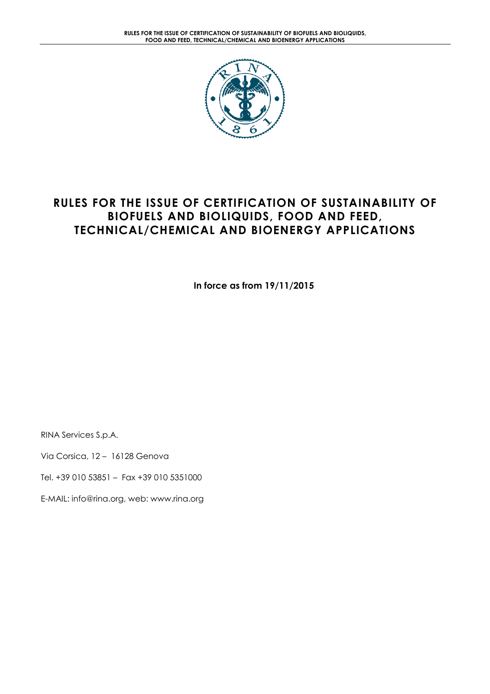

# RULES FOR THE ISSUE OF CERTIFICATION OF SUSTAINABILITY OF BIOFUELS AND BIOLIQUIDS, FOOD AND FEED, TECHNICAL/CHEMICAL AND BIOENERGY APPLICATIONS

In force as from 19/11/2015

RINA Services S.p.A.

Via Corsica, 12 – 16128 Genova

Tel. +39 010 53851 – Fax +39 010 5351000

E-MAIL: info@rina.org, web: www.rina.org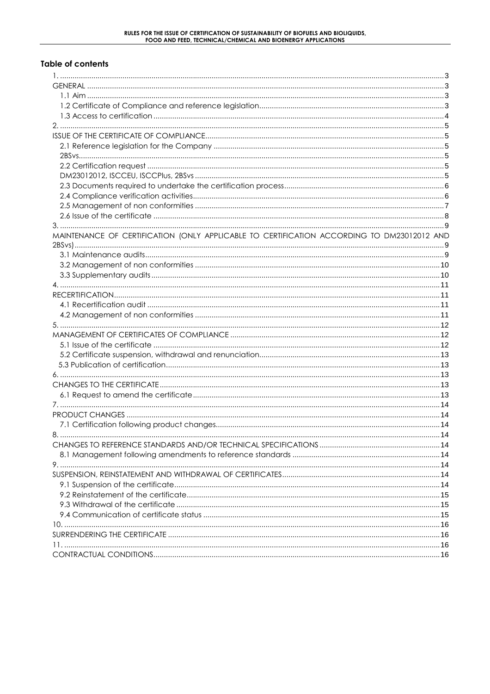#### **Table of contents**

| MAINTENANCE OF CERTIFICATION (ONLY APPLICABLE TO CERTIFICATION ACCORDING TO DM23012012 AND |  |
|--------------------------------------------------------------------------------------------|--|
|                                                                                            |  |
|                                                                                            |  |
|                                                                                            |  |
|                                                                                            |  |
|                                                                                            |  |
|                                                                                            |  |
|                                                                                            |  |
|                                                                                            |  |
|                                                                                            |  |
|                                                                                            |  |
|                                                                                            |  |
|                                                                                            |  |
|                                                                                            |  |
|                                                                                            |  |
|                                                                                            |  |
|                                                                                            |  |
|                                                                                            |  |
|                                                                                            |  |
|                                                                                            |  |
|                                                                                            |  |
|                                                                                            |  |
|                                                                                            |  |
|                                                                                            |  |
|                                                                                            |  |
|                                                                                            |  |
|                                                                                            |  |
|                                                                                            |  |
|                                                                                            |  |
|                                                                                            |  |
|                                                                                            |  |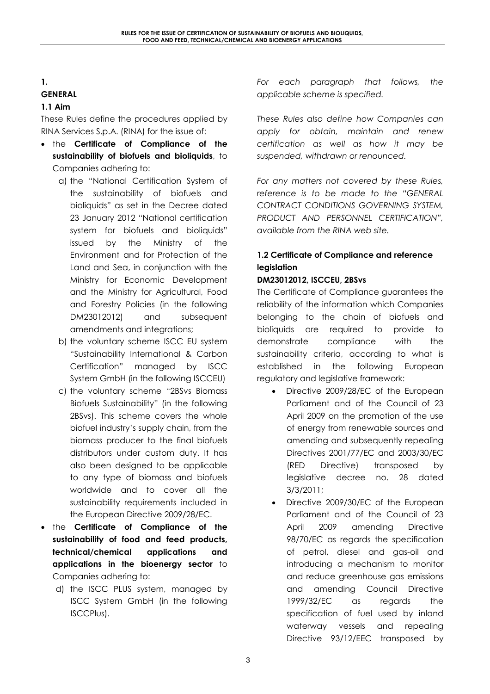#### 1. GENERAL

## 1.1 Aim

These Rules define the procedures applied by RINA Services S.p.A. (RINA) for the issue of:

- the Certificate of Compliance of the sustainability of biofuels and bioliquids, to Companies adhering to:
	- a) the "National Certification System of the sustainability of biofuels and bioliquids" as set in the Decree dated 23 January 2012 "National certification system for biofuels and bioliquids" issued by the Ministry of the Environment and for Protection of the Land and Sea, in conjunction with the Ministry for Economic Development and the Ministry for Agricultural, Food and Forestry Policies (in the following DM23012012) and subsequent amendments and integrations;
	- b) the voluntary scheme ISCC EU system "Sustainability International & Carbon Certification" managed by ISCC System GmbH (in the following ISCCEU)
	- c) the voluntary scheme "2BSvs Biomass Biofuels Sustainability" (in the following 2BSvs). This scheme covers the whole biofuel industry's supply chain, from the biomass producer to the final biofuels distributors under custom duty. It has also been designed to be applicable to any type of biomass and biofuels worldwide and to cover all the sustainability requirements included in the European Directive 2009/28/EC.
- the **Certificate of Compliance of the** sustainability of food and feed products, technical/chemical applications and applications in the bioenergy sector to Companies adhering to:
	- d) the ISCC PLUS system, managed by ISCC System GmbH (in the following ISCCPlus).

For each paragraph that follows, the applicable scheme is specified.

These Rules also define how Companies can apply for obtain, maintain and renew certification as well as how it may be suspended, withdrawn or renounced.

For any matters not covered by these Rules, reference is to be made to the "GENERAL CONTRACT CONDITIONS GOVERNING SYSTEM, PRODUCT AND PERSONNEL CERTIFICATION", available from the RINA web site.

# 1.2 Certificate of Compliance and reference legislation

## DM23012012, ISCCEU, 2BSvs

The Certificate of Compliance guarantees the reliability of the information which Companies belonging to the chain of biofuels and bioliquids are required to provide to demonstrate compliance with the sustainability criteria, according to what is established in the following European regulatory and legislative framework:

- Directive 2009/28/EC of the European Parliament and of the Council of 23 April 2009 on the promotion of the use of energy from renewable sources and amending and subsequently repealing Directives 2001/77/EC and 2003/30/EC (RED Directive) transposed by legislative decree no. 28 dated 3/3/2011;
- Directive 2009/30/EC of the European Parliament and of the Council of 23 April 2009 amending Directive 98/70/EC as regards the specification of petrol, diesel and gas-oil and introducing a mechanism to monitor and reduce greenhouse gas emissions and amending Council Directive 1999/32/EC as regards the specification of fuel used by inland waterway vessels and repealing Directive 93/12/EEC transposed by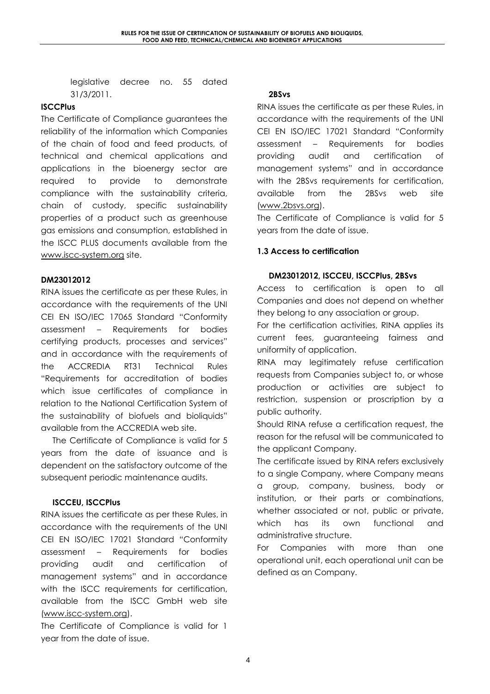legislative decree no. 55 dated 31/3/2011.

#### **ISCCPlus**

The Certificate of Compliance guarantees the reliability of the information which Companies of the chain of food and feed products, of technical and chemical applications and applications in the bioenergy sector are required to provide to demonstrate compliance with the sustainability criteria, chain of custody, specific sustainability properties of a product such as greenhouse gas emissions and consumption, established in the ISCC PLUS documents available from the www.iscc-system.org site.

#### DM23012012

RINA issues the certificate as per these Rules, in accordance with the requirements of the UNI CEI EN ISO/IEC 17065 Standard "Conformity assessment – Requirements for bodies certifying products, processes and services" and in accordance with the requirements of the ACCREDIA RT31 Technical Rules "Requirements for accreditation of bodies which issue certificates of compliance in relation to the National Certification System of the sustainability of biofuels and bioliquids" available from the ACCREDIA web site.

The Certificate of Compliance is valid for 5 years from the date of issuance and is dependent on the satisfactory outcome of the subsequent periodic maintenance audits.

## ISCCEU, ISCCPlus

RINA issues the certificate as per these Rules, in accordance with the requirements of the UNI CEI EN ISO/IEC 17021 Standard "Conformity assessment – Requirements for bodies providing audit and certification of management systems" and in accordance with the ISCC requirements for certification, available from the ISCC GmbH web site (www.iscc-system.org).

The Certificate of Compliance is valid for 1 year from the date of issue.

#### 2BSvs

RINA issues the certificate as per these Rules, in accordance with the requirements of the UNI CEI EN ISO/IEC 17021 Standard "Conformity assessment – Requirements for bodies providing audit and certification of management systems" and in accordance with the 2BSvs requirements for certification, available from the 2BSvs web site (www.2bsvs.org).

The Certificate of Compliance is valid for 5 years from the date of issue.

## 1.3 Access to certification

## DM23012012, ISCCEU, ISCCPlus, 2BSvs

Access to certification is open to all Companies and does not depend on whether they belong to any association or group.

For the certification activities, RINA applies its current fees, guaranteeing fairness and uniformity of application.

RINA may legitimately refuse certification requests from Companies subject to, or whose production or activities are subject to restriction, suspension or proscription by a public authority.

Should RINA refuse a certification request, the reason for the refusal will be communicated to the applicant Company.

The certificate issued by RINA refers exclusively to a single Company, where Company means a group, company, business, body or institution, or their parts or combinations, whether associated or not, public or private, which has its own functional and administrative structure.

For Companies with more than one operational unit, each operational unit can be defined as an Company.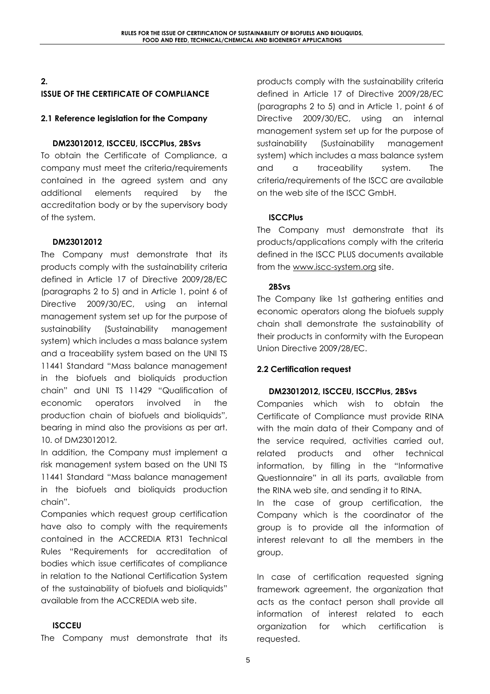### 2. ISSUE OF THE CERTIFICATE OF COMPLIANCE

### 2.1 Reference legislation for the Company

### DM23012012, ISCCEU, ISCCPlus, 2BSvs

To obtain the Certificate of Compliance, a company must meet the criteria/requirements contained in the agreed system and any additional elements required by the accreditation body or by the supervisory body of the system.

#### DM23012012

The Company must demonstrate that its products comply with the sustainability criteria defined in Article 17 of Directive 2009/28/EC (paragraphs 2 to 5) and in Article 1, point 6 of Directive 2009/30/EC, using an internal management system set up for the purpose of sustainability (Sustainability management system) which includes a mass balance system and a traceability system based on the UNI TS 11441 Standard "Mass balance management in the biofuels and bioliquids production chain" and UNI TS 11429 "Qualification of economic operators involved in the production chain of biofuels and bioliquids", bearing in mind also the provisions as per art. 10. of DM23012012.

In addition, the Company must implement a risk management system based on the UNI TS 11441 Standard "Mass balance management in the biofuels and bioliquids production chain".

Companies which request group certification have also to comply with the requirements contained in the ACCREDIA RT31 Technical Rules "Requirements for accreditation of bodies which issue certificates of compliance in relation to the National Certification System of the sustainability of biofuels and bioliquids" available from the ACCREDIA web site.

#### ISCCEU

The Company must demonstrate that its

products comply with the sustainability criteria defined in Article 17 of Directive 2009/28/EC (paragraphs 2 to 5) and in Article 1, point 6 of Directive 2009/30/EC, using an internal management system set up for the purpose of sustainability (Sustainability management system) which includes a mass balance system and a traceability system. The criteria/requirements of the ISCC are available on the web site of the ISCC GmbH.

## **ISCCPlus**

The Company must demonstrate that its products/applications comply with the criteria defined in the ISCC PLUS documents available from the www.iscc-system.org site.

#### 2BSvs

The Company like 1st gathering entities and economic operators along the biofuels supply chain shall demonstrate the sustainability of their products in conformity with the European Union Directive 2009/28/EC.

## 2.2 Certification request

#### DM23012012, ISCCEU, ISCCPlus, 2BSvs

Companies which wish to obtain the Certificate of Compliance must provide RINA with the main data of their Company and of the service required, activities carried out, related products and other technical information, by filling in the "Informative Questionnaire" in all its parts, available from the RINA web site, and sending it to RINA.

In the case of group certification, the Company which is the coordinator of the group is to provide all the information of interest relevant to all the members in the group.

In case of certification requested signing framework agreement, the organization that acts as the contact person shall provide all information of interest related to each organization for which certification is requested.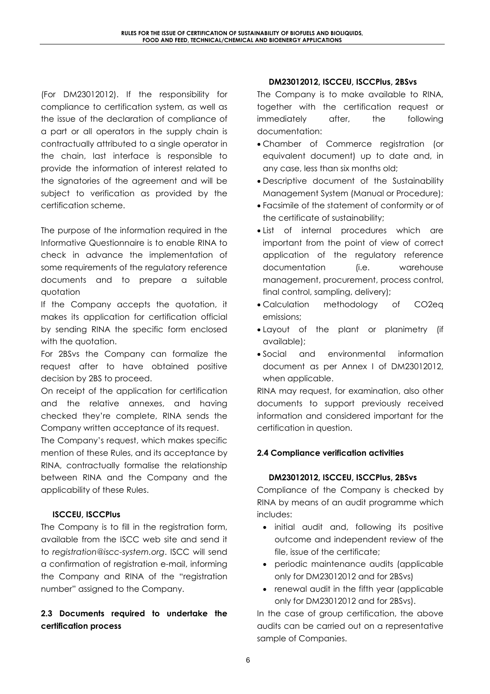(For DM23012012). If the responsibility for compliance to certification system, as well as the issue of the declaration of compliance of a part or all operators in the supply chain is contractually attributed to a single operator in the chain, last interface is responsible to provide the information of interest related to the signatories of the agreement and will be subject to verification as provided by the certification scheme.

The purpose of the information required in the Informative Questionnaire is to enable RINA to check in advance the implementation of some requirements of the regulatory reference documents and to prepare a suitable quotation

If the Company accepts the quotation, it makes its application for certification official by sending RINA the specific form enclosed with the quotation.

For 2BSvs the Company can formalize the request after to have obtained positive decision by 2BS to proceed.

On receipt of the application for certification and the relative annexes, and having checked they're complete, RINA sends the Company written acceptance of its request.

The Company's request, which makes specific mention of these Rules, and its acceptance by RINA, contractually formalise the relationship between RINA and the Company and the applicability of these Rules.

## ISCCEU, ISCCPlus

The Company is to fill in the registration form, available from the ISCC web site and send it to registration@iscc-system.org. ISCC will send a confirmation of registration e-mail, informing the Company and RINA of the "registration number" assigned to the Company.

# 2.3 Documents required to undertake the certification process

### DM23012012, ISCCEU, ISCCPlus, 2BSvs

The Company is to make available to RINA, together with the certification request or immediately after, the following documentation:

- Chamber of Commerce registration (or equivalent document) up to date and, in any case, less than six months old;
- Descriptive document of the Sustainability Management System (Manual or Procedure);
- Facsimile of the statement of conformity or of the certificate of sustainability;
- List of internal procedures which are important from the point of view of correct application of the regulatory reference documentation (i.e. warehouse management, procurement, process control, final control, sampling, delivery);
- Calculation methodology of CO2eq emissions;
- Layout of the plant or planimetry (if available);
- Social and environmental information document as per Annex I of DM23012012, when applicable.

RINA may request, for examination, also other documents to support previously received information and considered important for the certification in question.

## 2.4 Compliance verification activities

## DM23012012, ISCCEU, ISCCPlus, 2BSvs

Compliance of the Company is checked by RINA by means of an audit programme which includes:

- initial audit and, following its positive outcome and independent review of the file, issue of the certificate;
- periodic maintenance audits (applicable only for DM23012012 and for 2BSvs)
- renewal audit in the fifth year (applicable only for DM23012012 and for 2BSvs).

In the case of group certification, the above audits can be carried out on a representative sample of Companies.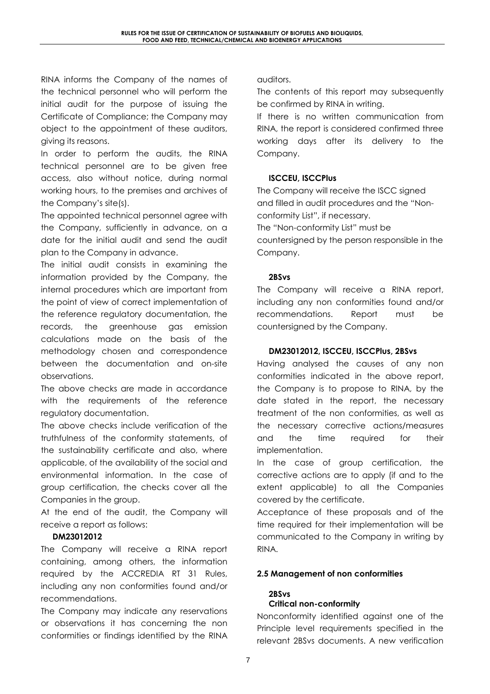RINA informs the Company of the names of the technical personnel who will perform the initial audit for the purpose of issuing the Certificate of Compliance; the Company may object to the appointment of these auditors, giving its reasons.

In order to perform the audits, the RINA technical personnel are to be given free access, also without notice, during normal working hours, to the premises and archives of the Company's site(s).

The appointed technical personnel agree with the Company, sufficiently in advance, on a date for the initial audit and send the audit plan to the Company in advance.

The initial audit consists in examining the information provided by the Company, the internal procedures which are important from the point of view of correct implementation of the reference regulatory documentation, the records, the greenhouse gas emission calculations made on the basis of the methodology chosen and correspondence between the documentation and on-site observations.

The above checks are made in accordance with the requirements of the reference regulatory documentation.

The above checks include verification of the truthfulness of the conformity statements, of the sustainability certificate and also, where applicable, of the availability of the social and environmental information. In the case of group certification, the checks cover all the Companies in the group.

At the end of the audit, the Company will receive a report as follows:

## DM23012012

The Company will receive a RINA report containing, among others, the information required by the ACCREDIA RT 31 Rules, including any non conformities found and/or recommendations.

The Company may indicate any reservations or observations it has concerning the non conformities or findings identified by the RINA

auditors.

The contents of this report may subsequently be confirmed by RINA in writing.

If there is no written communication from RINA, the report is considered confirmed three working days after its delivery to the Company.

### ISCCEU, ISCCPlus

The Company will receive the ISCC signed and filled in audit procedures and the "Nonconformity List", if necessary.

The "Non-conformity List" must be countersigned by the person responsible in the Company.

#### 2BSvs

The Company will receive a RINA report, including any non conformities found and/or recommendations. Report must be countersigned by the Company.

### DM23012012, ISCCEU, ISCCPlus, 2BSvs

Having analysed the causes of any non conformities indicated in the above report, the Company is to propose to RINA, by the date stated in the report, the necessary treatment of the non conformities, as well as the necessary corrective actions/measures and the time required for their implementation.

In the case of group certification, the corrective actions are to apply (if and to the extent applicable) to all the Companies covered by the certificate.

Acceptance of these proposals and of the time required for their implementation will be communicated to the Company in writing by RINA.

## 2.5 Management of non conformities

#### 2BSvs Critical non-conformity

Nonconformity identified against one of the Principle level requirements specified in the relevant 2BSvs documents. A new verification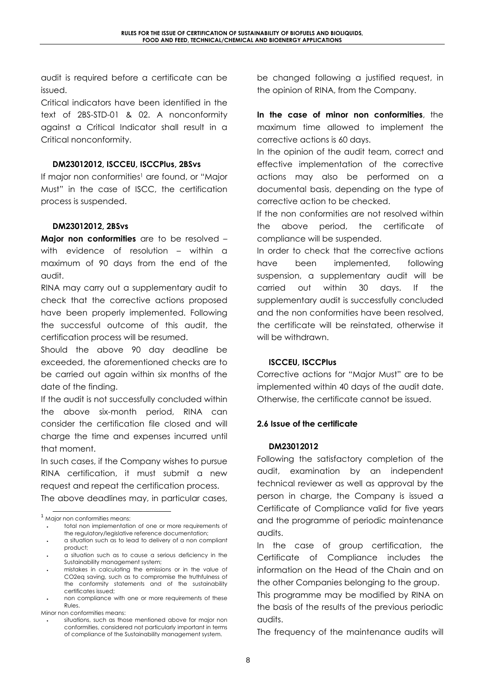audit is required before a certificate can be issued.

Critical indicators have been identified in the text of 2BS-STD-01 & 02. A nonconformity against a Critical Indicator shall result in a Critical nonconformity.

#### DM23012012, ISCCEU, ISCCPlus, 2BSvs

If major non conformities<sup>1</sup> are found, or "Major Must" in the case of ISCC, the certification process is suspended.

#### DM23012012, 2BSvs

Major non conformities are to be resolved with evidence of resolution – within a maximum of 90 days from the end of the audit.

RINA may carry out a supplementary audit to check that the corrective actions proposed have been properly implemented. Following the successful outcome of this audit, the certification process will be resumed.

Should the above 90 day deadline be exceeded, the aforementioned checks are to be carried out again within six months of the date of the finding.

If the audit is not successfully concluded within the above six-month period, RINA can consider the certification file closed and will charge the time and expenses incurred until that moment.

In such cases, if the Company wishes to pursue RINA certification, it must submit a new request and repeat the certification process.

The above deadlines may, in particular cases,

be changed following a justified request, in the opinion of RINA, from the Company.

In the case of minor non conformities, the maximum time allowed to implement the corrective actions is 60 days.

In the opinion of the audit team, correct and effective implementation of the corrective actions may also be performed on a documental basis, depending on the type of corrective action to be checked.

If the non conformities are not resolved within the above period, the certificate of compliance will be suspended.

In order to check that the corrective actions have been implemented, following suspension, a supplementary audit will be carried out within 30 days. If the supplementary audit is successfully concluded and the non conformities have been resolved, the certificate will be reinstated, otherwise it will be withdrawn.

#### ISCCEU, ISCCPlus

Corrective actions for "Major Must" are to be implemented within 40 days of the audit date. Otherwise, the certificate cannot be issued.

#### 2.6 Issue of the certificate

#### DM23012012

Following the satisfactory completion of the audit, examination by an independent technical reviewer as well as approval by the person in charge, the Company is issued a Certificate of Compliance valid for five years and the programme of periodic maintenance audits.

In the case of group certification, the Certificate of Compliance includes the information on the Head of the Chain and on the other Companies belonging to the group.

This programme may be modified by RINA on the basis of the results of the previous periodic audits.

The frequency of the maintenance audits will

l <sup>1</sup> Major non conformities means:

<sup>•</sup> total non implementation of one or more requirements of the regulatory/legislative reference documentation;

<sup>•</sup> a situation such as to lead to delivery of a non compliant product;

<sup>•</sup> a situation such as to cause a serious deficiency in the Sustainability management system;

<sup>•</sup> mistakes in calculating the emissions or in the value of CO2eq saving, such as to compromise the truthfulness of the conformity statements and of the sustainability certificates issued;

<sup>•</sup> non compliance with one or more requirements of these Rules.

Minor non conformities means:

situations, such as those mentioned above for major non conformities, considered not particularly important in terms of compliance of the Sustainability management system.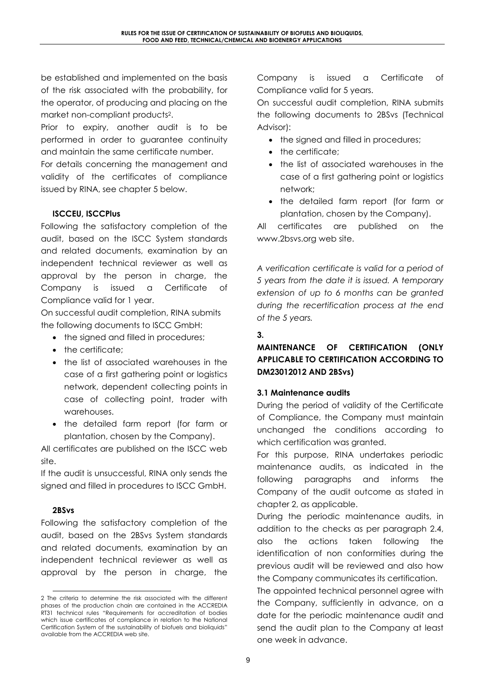be established and implemented on the basis of the risk associated with the probability, for the operator, of producing and placing on the market non-compliant products2.

Prior to expiry, another audit is to be performed in order to guarantee continuity and maintain the same certificate number.

For details concerning the management and validity of the certificates of compliance issued by RINA, see chapter 5 below.

# ISCCEU, ISCCPlus

Following the satisfactory completion of the audit, based on the ISCC System standards and related documents, examination by an independent technical reviewer as well as approval by the person in charge, the Company is issued a Certificate of Compliance valid for 1 year.

On successful audit completion, RINA submits the following documents to ISCC GmbH:

- the signed and filled in procedures;
- the certificate:
- the list of associated warehouses in the case of a first gathering point or logistics network, dependent collecting points in case of collecting point, trader with warehouses.
- the detailed farm report (for farm or plantation, chosen by the Company).

All certificates are published on the ISCC web site.

If the audit is unsuccessful, RINA only sends the signed and filled in procedures to ISCC GmbH.

## 2BSvs

 $\overline{a}$ 

Following the satisfactory completion of the audit, based on the 2BSvs System standards and related documents, examination by an independent technical reviewer as well as approval by the person in charge, the

Company is issued a Certificate of Compliance valid for 5 years.

On successful audit completion, RINA submits the following documents to 2BSvs (Technical Advisor):

- the signed and filled in procedures;
- the certificate:
- the list of associated warehouses in the case of a first gathering point or logistics network;
- the detailed farm report (for farm or plantation, chosen by the Company).

All certificates are published on the www.2bsvs.org web site.

A verification certificate is valid for a period of 5 years from the date it is issued. A temporary extension of up to 6 months can be granted during the recertification process at the end of the 5 years.

## 3.

# MAINTENANCE OF CERTIFICATION (ONLY APPLICABLE TO CERTIFICATION ACCORDING TO DM23012012 AND 2BSvs)

#### 3.1 Maintenance audits

During the period of validity of the Certificate of Compliance, the Company must maintain unchanged the conditions according to which certification was granted.

For this purpose, RINA undertakes periodic maintenance audits, as indicated in the following paragraphs and informs the Company of the audit outcome as stated in chapter 2, as applicable.

During the periodic maintenance audits, in addition to the checks as per paragraph 2.4, also the actions taken following the identification of non conformities during the previous audit will be reviewed and also how the Company communicates its certification.

The appointed technical personnel agree with the Company, sufficiently in advance, on a date for the periodic maintenance audit and send the audit plan to the Company at least one week in advance.

<sup>2</sup> The criteria to determine the risk associated with the different phases of the production chain are contained in the ACCREDIA RT31 technical rules "Requirements for accreditation of bodies which issue certificates of compliance in relation to the National Certification System of the sustainability of biofuels and bioliquids" available from the ACCREDIA web site.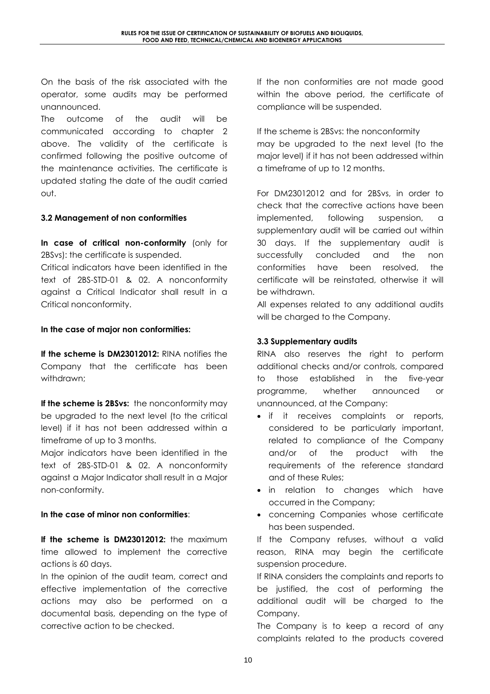On the basis of the risk associated with the operator, some audits may be performed unannounced.

The outcome of the audit will be communicated according to chapter 2 above. The validity of the certificate is confirmed following the positive outcome of the maintenance activities. The certificate is updated stating the date of the audit carried out.

## 3.2 Management of non conformities

In case of critical non-conformity (only for 2BSvs): the certificate is suspended.

Critical indicators have been identified in the text of 2BS-STD-01 & 02. A nonconformity against a Critical Indicator shall result in a Critical nonconformity.

#### In the case of major non conformities:

If the scheme is DM23012012: RINA notifies the Company that the certificate has been withdrawn;

If the scheme is 2BSvs: the nonconformity may be upgraded to the next level (to the critical level) if it has not been addressed within a timeframe of up to 3 months.

Major indicators have been identified in the text of 2BS-STD-01 & 02. A nonconformity against a Major Indicator shall result in a Major non-conformity.

#### In the case of minor non conformities:

If the scheme is DM23012012: the maximum time allowed to implement the corrective actions is 60 days.

In the opinion of the audit team, correct and effective implementation of the corrective actions may also be performed on a documental basis, depending on the type of corrective action to be checked.

If the non conformities are not made good within the above period, the certificate of compliance will be suspended.

If the scheme is 2BSvs: the nonconformity may be upgraded to the next level (to the major level) if it has not been addressed within a timeframe of up to 12 months.

For DM23012012 and for 2BSvs, in order to check that the corrective actions have been implemented, following suspension, a supplementary audit will be carried out within 30 days. If the supplementary audit is successfully concluded and the non conformities have been resolved, the certificate will be reinstated, otherwise it will be withdrawn.

All expenses related to any additional audits will be charged to the Company.

### 3.3 Supplementary audits

RINA also reserves the right to perform additional checks and/or controls, compared to those established in the five-year programme, whether announced or unannounced, at the Company:

- if it receives complaints or reports, considered to be particularly important, related to compliance of the Company and/or of the product with the requirements of the reference standard and of these Rules;
- in relation to changes which have occurred in the Company;
- concerning Companies whose certificate has been suspended.

If the Company refuses, without a valid reason, RINA may begin the certificate suspension procedure.

If RINA considers the complaints and reports to be justified, the cost of performing the additional audit will be charged to the Company.

The Company is to keep a record of any complaints related to the products covered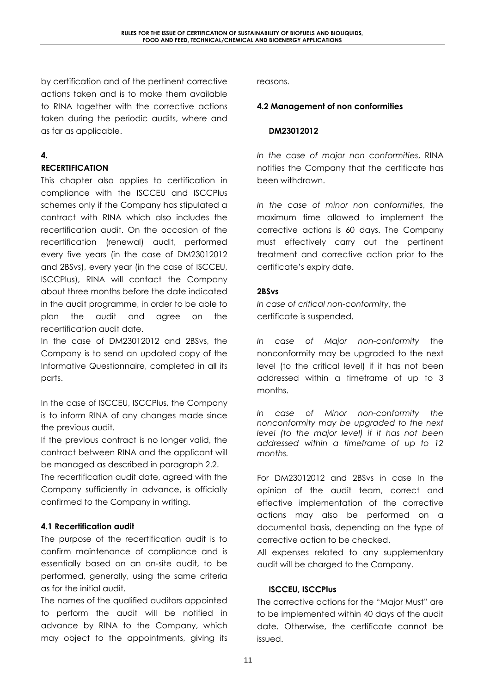by certification and of the pertinent corrective actions taken and is to make them available to RINA together with the corrective actions taken during the periodic audits, where and as far as applicable.

# 4.

# **RECERTIFICATION**

This chapter also applies to certification in compliance with the ISCCEU and ISCCPlus schemes only if the Company has stipulated a contract with RINA which also includes the recertification audit. On the occasion of the recertification (renewal) audit, performed every five years (in the case of DM23012012 and 2BSvs), every year (in the case of ISCCEU, ISCCPlus), RINA will contact the Company about three months before the date indicated in the audit programme, in order to be able to plan the audit and agree on the recertification audit date.

In the case of DM23012012 and 2BSvs, the Company is to send an updated copy of the Informative Questionnaire, completed in all its parts.

In the case of ISCCEU, ISCCPlus, the Company is to inform RINA of any changes made since the previous audit.

If the previous contract is no longer valid, the contract between RINA and the applicant will be managed as described in paragraph 2.2.

The recertification audit date, agreed with the Company sufficiently in advance, is officially confirmed to the Company in writing.

# 4.1 Recertification audit

The purpose of the recertification audit is to confirm maintenance of compliance and is essentially based on an on-site audit, to be performed, generally, using the same criteria as for the initial audit.

The names of the qualified auditors appointed to perform the audit will be notified in advance by RINA to the Company, which may object to the appointments, giving its

reasons.

### 4.2 Management of non conformities

#### DM23012012

In the case of major non conformities, RINA notifies the Company that the certificate has been withdrawn.

In the case of minor non conformities, the maximum time allowed to implement the corrective actions is 60 days. The Company must effectively carry out the pertinent treatment and corrective action prior to the certificate's expiry date.

## 2BSvs

In case of critical non-conformity, the certificate is suspended.

In case of Major non-conformity the nonconformity may be upgraded to the next level (to the critical level) if it has not been addressed within a timeframe of up to 3 months.

In case of Minor non-conformity the nonconformity may be upgraded to the next level (to the major level) if it has not been addressed within a timeframe of up to 12 months.

For DM23012012 and 2BSvs in case In the opinion of the audit team, correct and effective implementation of the corrective actions may also be performed on a documental basis, depending on the type of corrective action to be checked.

All expenses related to any supplementary audit will be charged to the Company.

## ISCCEU, ISCCPlus

The corrective actions for the "Major Must" are to be implemented within 40 days of the audit date. Otherwise, the certificate cannot be issued.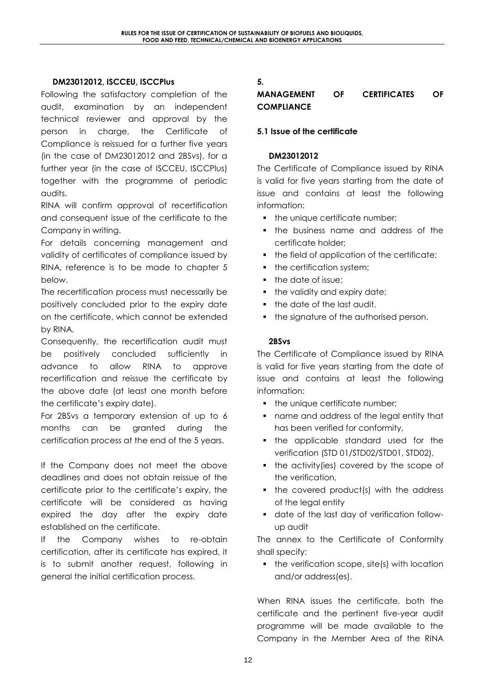#### DM23012012, ISCCEU, ISCCPlus

Following the satisfactory completion of the audit, examination by an independent technical reviewer and approval by the person in charge, the Certificate of Compliance is reissued for a further five years (in the case of DM23012012 and 2BSvs), for a further year (in the case of ISCCEU, ISCCPlus) together with the programme of periodic audits.

RINA will confirm approval of recertification and consequent issue of the certificate to the Company in writing.

For details concerning management and validity of certificates of compliance issued by RINA, reference is to be made to chapter 5 below.

The recertification process must necessarily be positively concluded prior to the expiry date on the certificate, which cannot be extended by RINA.

Consequently, the recertification audit must be positively concluded sufficiently in advance to allow RINA to approve recertification and reissue the certificate by the above date (at least one month before the certificate's expiry date).

For 2BSvs a temporary extension of up to 6 months can be granted during the certification process at the end of the 5 years.

If the Company does not meet the above deadlines and does not obtain reissue of the certificate prior to the certificate's expiry, the certificate will be considered as having expired the day after the expiry date established on the certificate.

If the Company wishes to re-obtain certification, after its certificate has expired, it is to submit another request, following in general the initial certification process.

## 5.

### MANAGEMENT OF CERTIFICATES OF **COMPLIANCE**

#### 5.1 Issue of the certificate

#### DM23012012

The Certificate of Compliance issued by RINA is valid for five years starting from the date of issue and contains at least the following information:

- the unique certificate number;
- **the business name and address of the** certificate holder;
- the field of application of the certificate;
- the certification system;
- the date of issue:
- the validity and expiry date;
- the date of the last audit.
- the signature of the authorised person.

#### 2BSvs

The Certificate of Compliance issued by RINA is valid for five years starting from the date of issue and contains at least the following information:

- the unique certificate number;
- name and address of the legal entity that has been verified for conformity,
- the applicable standard used for the verification (STD 01/STD02/STD01, STD02),
- the activity(ies) covered by the scope of the verification,
- the covered product(s) with the address of the legal entity
- date of the last day of verification followup audit

The annex to the Certificate of Conformity shall specify:

 $\blacksquare$  the verification scope, site(s) with location and/or address(es).

When RINA issues the certificate, both the certificate and the pertinent five-year audit programme will be made available to the Company in the Member Area of the RINA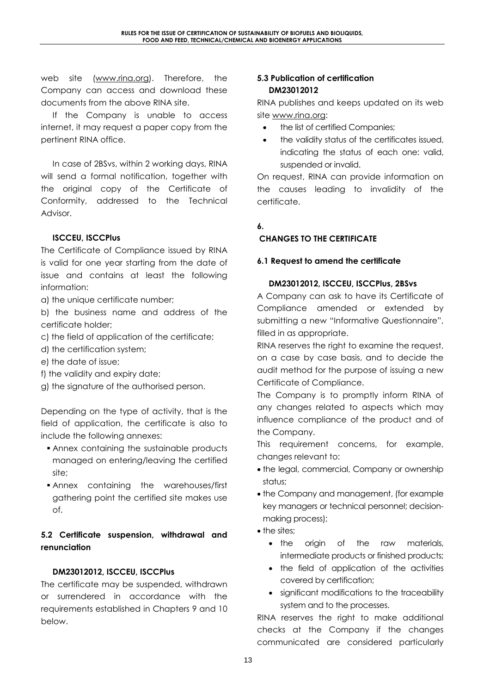web site (www.rina.org). Therefore, the Company can access and download these documents from the above RINA site.

If the Company is unable to access internet, it may request a paper copy from the pertinent RINA office.

In case of 2BSvs, within 2 working days, RINA will send a formal notification, together with the original copy of the Certificate of Conformity, addressed to the Technical Advisor.

## ISCCEU, ISCCPlus

The Certificate of Compliance issued by RINA is valid for one year starting from the date of issue and contains at least the following information:

a) the unique certificate number;

b) the business name and address of the certificate holder;

- c) the field of application of the certificate;
- d) the certification system;
- e) the date of issue;
- f) the validity and expiry date;
- g) the signature of the authorised person.

Depending on the type of activity, that is the field of application, the certificate is also to include the following annexes:

- Annex containing the sustainable products managed on entering/leaving the certified site;
- Annex containing the warehouses/first gathering point the certified site makes use of.

# 5.2 Certificate suspension, withdrawal and renunciation

## DM23012012, ISCCEU, ISCCPlus

The certificate may be suspended, withdrawn or surrendered in accordance with the requirements established in Chapters 9 and 10 below.

## 5.3 Publication of certification DM23012012

RINA publishes and keeps updated on its web site www.rina.org:

- the list of certified Companies;
- the validity status of the certificates issued, indicating the status of each one: valid, suspended or invalid.

On request, RINA can provide information on the causes leading to invalidity of the certificate.

#### 6.

# CHANGES TO THE CERTIFICATE

#### 6.1 Request to amend the certificate

#### DM23012012, ISCCEU, ISCCPlus, 2BSvs

A Company can ask to have its Certificate of Compliance amended or extended by submitting a new "Informative Questionnaire", filled in as appropriate.

RINA reserves the right to examine the request, on a case by case basis, and to decide the audit method for the purpose of issuing a new Certificate of Compliance.

The Company is to promptly inform RINA of any changes related to aspects which may influence compliance of the product and of the Company.

This requirement concerns, for example, changes relevant to:

- the legal, commercial, Company or ownership status;
- the Company and management, (for example key managers or technical personnel; decisionmaking process);
- the sites;
	- the origin of the raw materials, intermediate products or finished products;
	- the field of application of the activities covered by certification;
	- significant modifications to the traceability system and to the processes.

RINA reserves the right to make additional checks at the Company if the changes communicated are considered particularly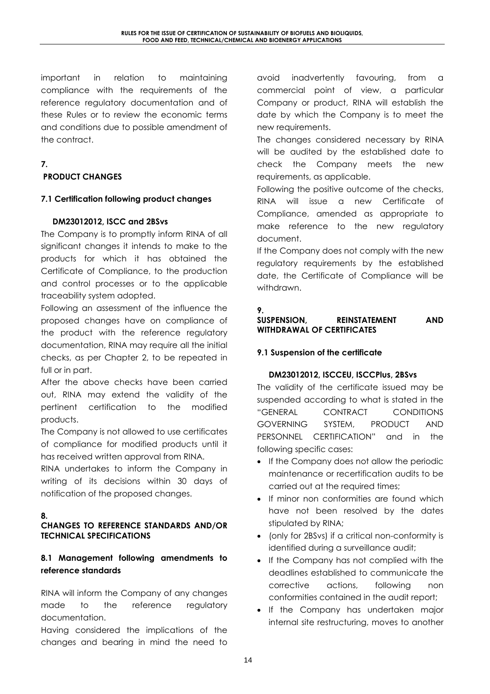important in relation to maintaining compliance with the requirements of the reference regulatory documentation and of these Rules or to review the economic terms and conditions due to possible amendment of the contract.

# 7.

# PRODUCT CHANGES

## 7.1 Certification following product changes

## DM23012012, ISCC and 2BSvs

The Company is to promptly inform RINA of all significant changes it intends to make to the products for which it has obtained the Certificate of Compliance, to the production and control processes or to the applicable traceability system adopted.

Following an assessment of the influence the proposed changes have on compliance of the product with the reference regulatory documentation, RINA may require all the initial checks, as per Chapter 2, to be repeated in full or in part.

After the above checks have been carried out, RINA may extend the validity of the pertinent certification to the modified products.

The Company is not allowed to use certificates of compliance for modified products until it has received written approval from RINA.

RINA undertakes to inform the Company in writing of its decisions within 30 days of notification of the proposed changes.

## 8.

#### CHANGES TO REFERENCE STANDARDS AND/OR TECHNICAL SPECIFICATIONS

# 8.1 Management following amendments to reference standards

RINA will inform the Company of any changes made to the reference regulatory documentation.

Having considered the implications of the changes and bearing in mind the need to

avoid inadvertently favouring, from a commercial point of view, a particular Company or product, RINA will establish the date by which the Company is to meet the new requirements.

The changes considered necessary by RINA will be audited by the established date to check the Company meets the new requirements, as applicable.

Following the positive outcome of the checks, RINA will issue a new Certificate of Compliance, amended as appropriate to make reference to the new regulatory document.

If the Company does not comply with the new regulatory requirements by the established date, the Certificate of Compliance will be withdrawn.

## 9.

# SUSPENSION, REINSTATEMENT AND WITHDRAWAL OF CERTIFICATES

## 9.1 Suspension of the certificate

#### DM23012012, ISCCEU, ISCCPlus, 2BSvs

The validity of the certificate issued may be suspended according to what is stated in the "GENERAL CONTRACT CONDITIONS GOVERNING SYSTEM, PRODUCT AND PERSONNEL CERTIFICATION" and in the following specific cases:

- If the Company does not allow the periodic maintenance or recertification audits to be carried out at the required times;
- If minor non conformities are found which have not been resolved by the dates stipulated by RINA;
- (only for 2BSvs) if a critical non-conformity is identified during a surveillance audit;
- If the Company has not complied with the deadlines established to communicate the corrective actions, following non conformities contained in the audit report;
- If the Company has undertaken major internal site restructuring, moves to another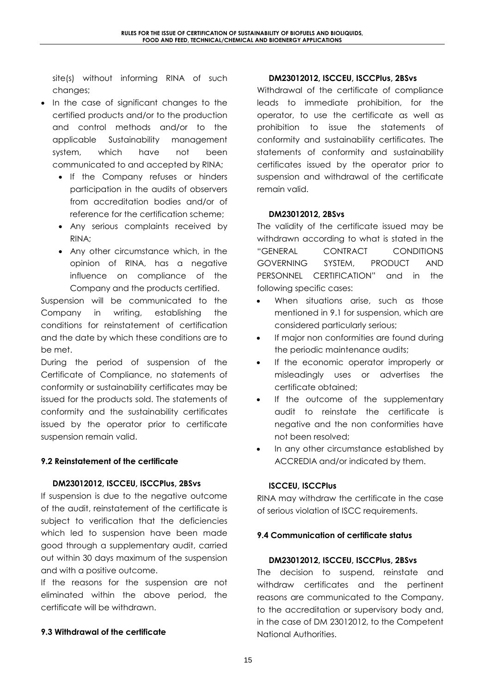site(s) without informing RINA of such changes;

- In the case of significant changes to the certified products and/or to the production and control methods and/or to the applicable Sustainability management system, which have not been communicated to and accepted by RINA;
	- If the Company refuses or hinders participation in the audits of observers from accreditation bodies and/or of reference for the certification scheme;
	- Any serious complaints received by RINA;
	- Any other circumstance which, in the opinion of RINA, has a negative influence on compliance of the Company and the products certified.

Suspension will be communicated to the Company in writing, establishing the conditions for reinstatement of certification and the date by which these conditions are to be met.

During the period of suspension of the Certificate of Compliance, no statements of conformity or sustainability certificates may be issued for the products sold. The statements of conformity and the sustainability certificates issued by the operator prior to certificate suspension remain valid.

## 9.2 Reinstatement of the certificate

#### DM23012012, ISCCEU, ISCCPlus, 2BSvs

If suspension is due to the negative outcome of the audit, reinstatement of the certificate is subject to verification that the deficiencies which led to suspension have been made good through a supplementary audit, carried out within 30 days maximum of the suspension and with a positive outcome.

If the reasons for the suspension are not eliminated within the above period, the certificate will be withdrawn.

#### 9.3 Withdrawal of the certificate

#### DM23012012, ISCCEU, ISCCPlus, 2BSvs

Withdrawal of the certificate of compliance leads to immediate prohibition, for the operator, to use the certificate as well as prohibition to issue the statements of conformity and sustainability certificates. The statements of conformity and sustainability certificates issued by the operator prior to suspension and withdrawal of the certificate remain valid.

#### DM23012012, 2BSvs

The validity of the certificate issued may be withdrawn according to what is stated in the "GENERAL CONTRACT CONDITIONS GOVERNING SYSTEM, PRODUCT AND PERSONNEL CERTIFICATION" and in the following specific cases:

- When situations arise, such as those mentioned in 9.1 for suspension, which are considered particularly serious;
- If major non conformities are found during the periodic maintenance audits;
- If the economic operator improperly or misleadingly uses or advertises the certificate obtained;
- If the outcome of the supplementary audit to reinstate the certificate is negative and the non conformities have not been resolved;
- In any other circumstance established by ACCREDIA and/or indicated by them.

#### ISCCEU, ISCCPlus

RINA may withdraw the certificate in the case of serious violation of ISCC requirements.

#### 9.4 Communication of certificate status

#### DM23012012, ISCCEU, ISCCPlus, 2BSvs

The decision to suspend, reinstate and withdraw certificates and the pertinent reasons are communicated to the Company, to the accreditation or supervisory body and, in the case of DM 23012012, to the Competent National Authorities.